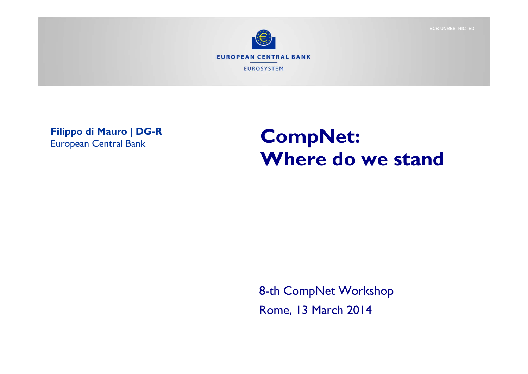

**Filippo di Mauro | DG-R** European Central Bank

## **CompNet: Where do we stand**

8-th CompNet Workshop Rome, 13 March 2014

**ECB-UNRESTRICTED**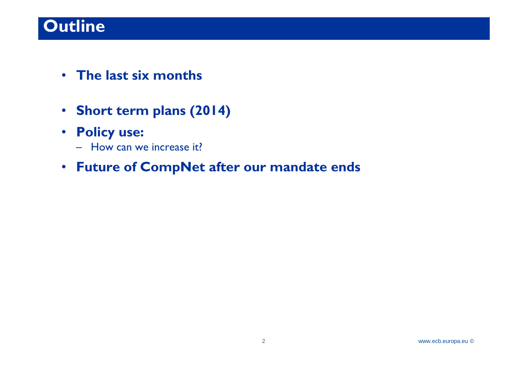## **Outline**

- **The last six months**
- •**Short term plans (2014)**

#### • **Policy use:**

- How can we increase it?
- **Future of CompNet after our mandate ends**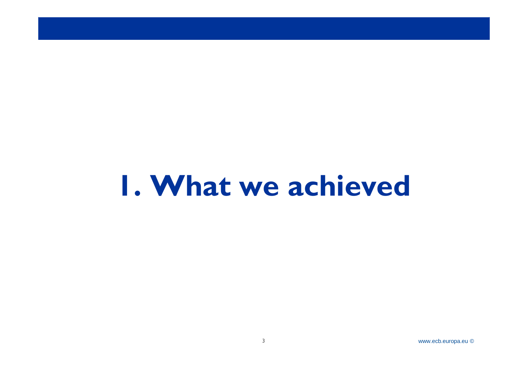## **1. What we achieved**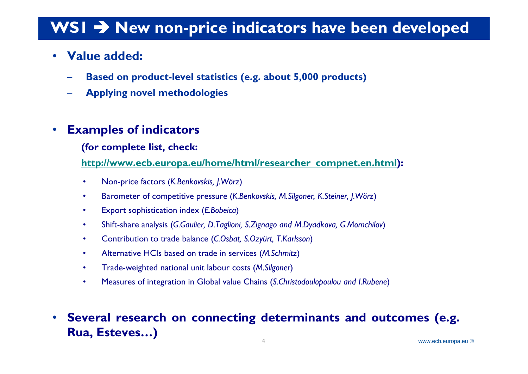### WSI  $\rightarrow$  New non-price indicators have been developed

#### $\bullet$ **Value added:**

- –**Based on product-level statistics (e.g. about 5,000 products)**
- –**Applying novel methodologies**

#### •**Examples of indicators**

#### **(for complete list, check:**

**http://www.ecb.europa.eu/home/html/researcher\_compnet.en.html):**

- •Non-price factors (*K.Benkovskis, J.Wörz*)
- •Barometer of competitive pressure (*K.Benkovskis, M.Silgoner, K.Steiner, J.Wörz*)
- •Export sophistication index (*E.Bobeica*)
- •Shift-share analysis (*G.Gaulier, D.Taglioni, S.Zignago and M.Dyadkova, G.Momchilov*)
- •Contribution to trade balance (*C.Osbat, S.Ozyürt, T.Karlsson*)
- •Alternative HCIs based on trade in services (*M.Schmitz*)
- •Trade-weighted national unit labour costs (*M.Silgoner*)
- •Measures of integration in Global value Chains (*S.Christodoulopoulou and I.Rubene*)
- $\bullet$  **Several research on connecting determinants and outcomes (e.g. Rua, Esteves…)**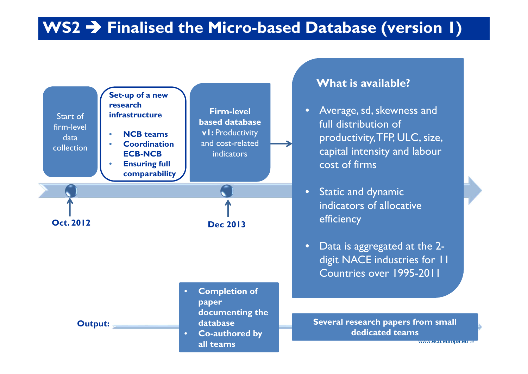#### WS2  $\rightarrow$  Finalised the Micro-based Database (version 1)

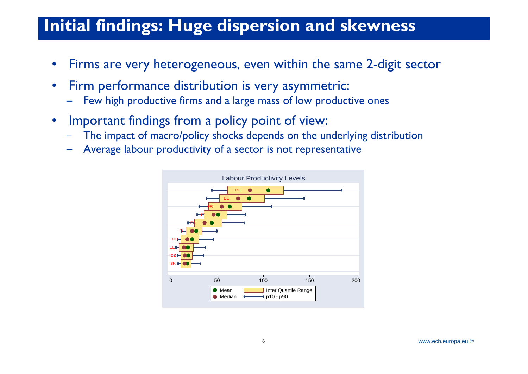### **Initial findings: Huge dispersion and skewness**

- •Firms are very heterogeneous, even within the same 2-digit sector
- • Firm performance distribution is very asymmetric:
	- –Few high productive firms and a large mass of low productive ones
- • Important findings from a policy point of view:
	- The impact of macro/policy shocks depends on the underlying distribution
	- –Average labour productivity of a sector is not representative

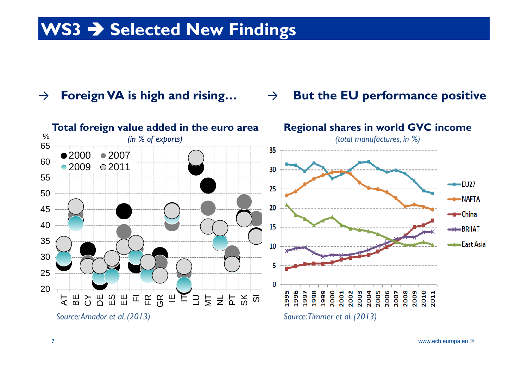## WS3  $\rightarrow$  Selected New Findings

#### → **Foreign VA is high and rising…**

#### → **But the EU performance positive**

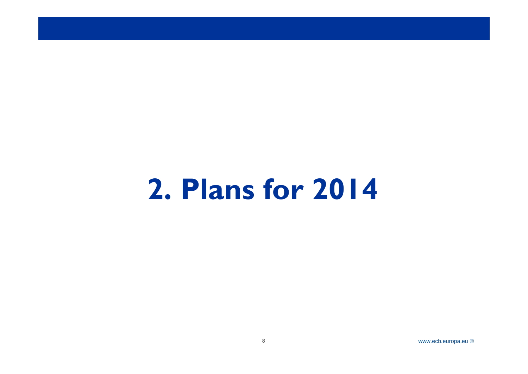# **2. Plans for 2014**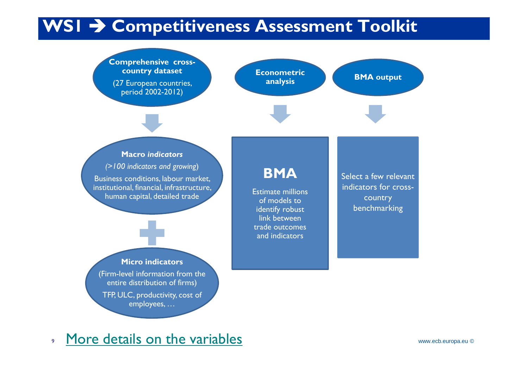## WSI  $\rightarrow$  Competitiveness Assessment Toolkit

**Micro indicators** (Firm-level information from the entire distribution of firms) TFP, ULC, productivity, cost of **Macro** *indicators (>100 indicators and growing*) Business conditions, labour market, institutional, financial, infrastructure, human capital, detailed trade **Comprehensive crosscountry dataset**  (27 European countries, period 2002-2012) **researchers** benchmarking Select a few relevant indicators for crosscountry **BMA output BMA**Estimate millions of models to identify robust link between trade outcomes and indicators**Econometric analysis**

9More details on the variables

employees, …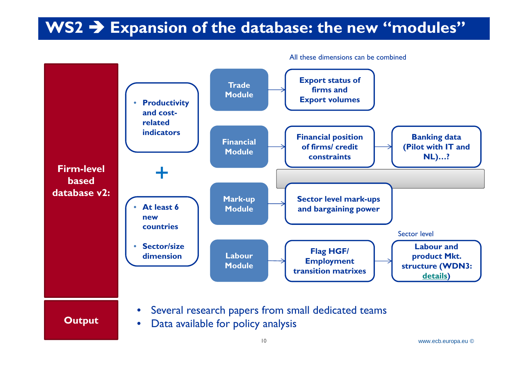#### WS2  $\rightarrow$  Expansion of the database: the new "modules"



All these dimensions can be combined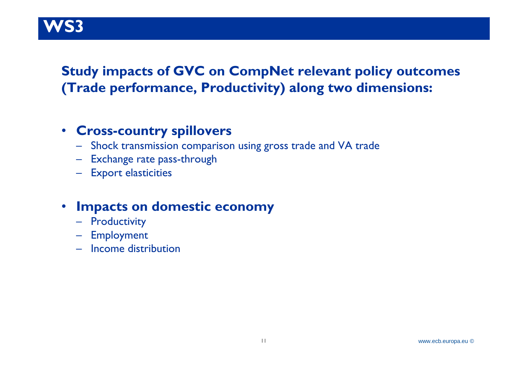#### RUP V **WS3**

#### **Study impacts of GVC on CompNet relevant policy outcomes (Trade performance, Productivity) along two dimensions:**

#### • **Cross-country spillovers**

- Shock transmission comparison using gross trade and VA trade
- Exchange rate pass-through
- Export elasticities

#### • **Impacts on domestic economy**

- Productivity
- Employment
- Income distribution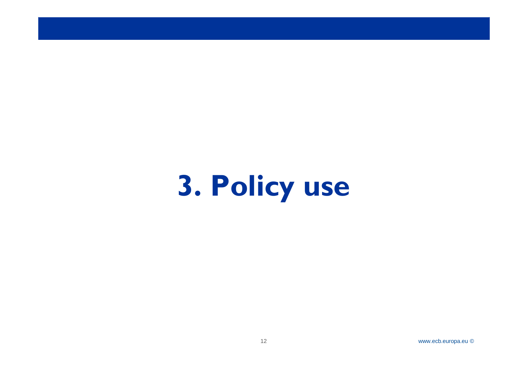# **3. Policy use**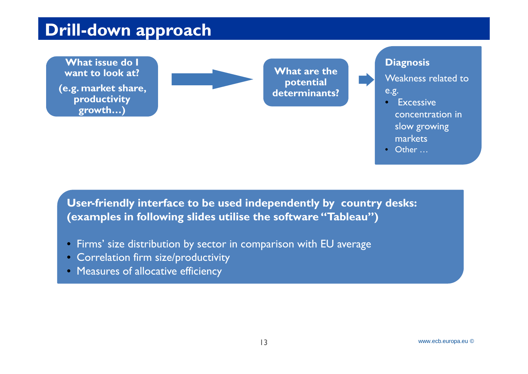#### )rill. **Drill-down approach**

**What issue do I want to look at?** 

**(e.g. market share, productivity growth…)**



**What are the potential determinants?**

#### **Diagnosis**

Weakness related to e.g.

- Excessive concentration in slow growing markets
- Other …

**User-friendly interface to be used independently by country desks: (examples in following slides utilise the software "Tableau")**

- Firms' size distribution by sector in comparison with EU average
- Correlation firm size/productivity
- Measures of allocative efficiency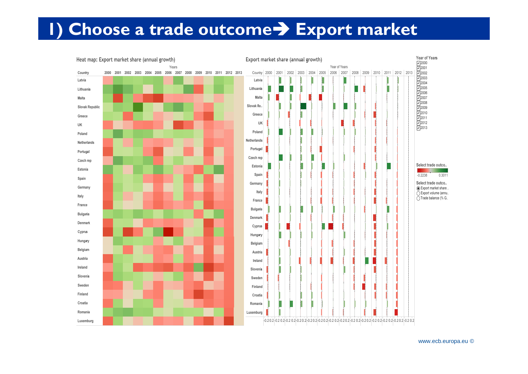### **1) Choose a trade outcome** $\rightarrow$  **Export market**

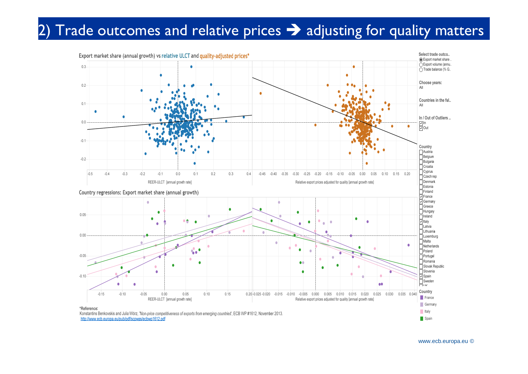#### 2) Trade outcomes and relative prices  $\rightarrow$  adjusting for quality matters

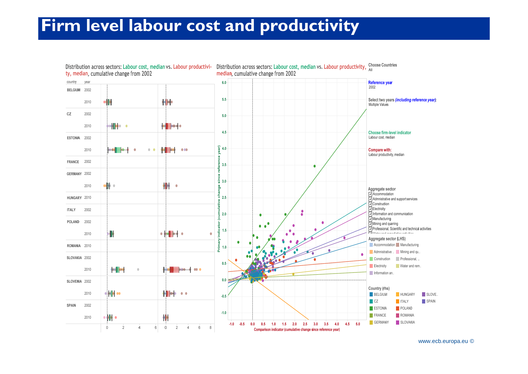#### **Firm level labour cost and productivity**

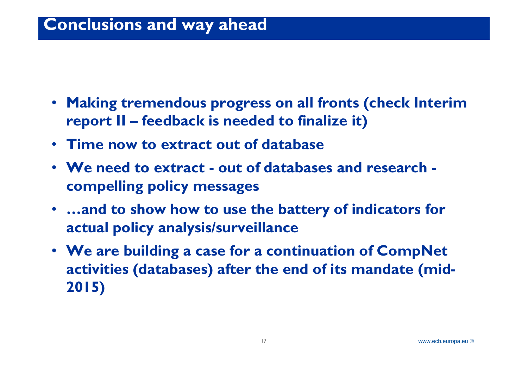#### **Conclusions and way ahead**

- **Making tremendous progress on all fronts (check Interim report II – feedback is needed to finalize it)**
- **Time now to extract out of database**
- **We need to extract - out of databases and research compelling policy messages**
- **…and to show how to use the battery of indicators for actual policy analysis/surveillance**
- **We are building a case for a continuation of CompNet activities (databases) after the end of its mandate (mid-2015)**